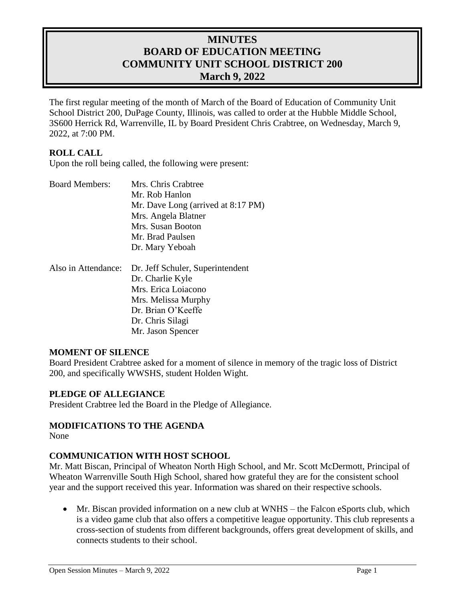# **MINUTES BOARD OF EDUCATION MEETING COMMUNITY UNIT SCHOOL DISTRICT 200 March 9, 2022**

The first regular meeting of the month of March of the Board of Education of Community Unit School District 200, DuPage County, Illinois, was called to order at the Hubble Middle School, 3S600 Herrick Rd, Warrenville, IL by Board President Chris Crabtree, on Wednesday, March 9, 2022, at 7:00 PM.

### **ROLL CALL**

Upon the roll being called, the following were present:

| <b>Board Members:</b> | Mrs. Chris Crabtree                |
|-----------------------|------------------------------------|
|                       | Mr. Rob Hanlon                     |
|                       | Mr. Dave Long (arrived at 8:17 PM) |
|                       | Mrs. Angela Blatner                |
|                       | Mrs. Susan Booton                  |
|                       | Mr. Brad Paulsen                   |
|                       | Dr. Mary Yeboah                    |
|                       |                                    |

| Also in Attendance: Dr. Jeff Schuler, Superintendent |
|------------------------------------------------------|
| Dr. Charlie Kyle                                     |
| Mrs. Erica Loiacono                                  |
| Mrs. Melissa Murphy                                  |
| Dr. Brian O'Keeffe                                   |
| Dr. Chris Silagi                                     |
| Mr. Jason Spencer                                    |

#### **MOMENT OF SILENCE**

Board President Crabtree asked for a moment of silence in memory of the tragic loss of District 200, and specifically WWSHS, student Holden Wight.

#### **PLEDGE OF ALLEGIANCE**

President Crabtree led the Board in the Pledge of Allegiance.

#### **MODIFICATIONS TO THE AGENDA**

None

#### **COMMUNICATION WITH HOST SCHOOL**

Mr. Matt Biscan, Principal of Wheaton North High School, and Mr. Scott McDermott, Principal of Wheaton Warrenville South High School, shared how grateful they are for the consistent school year and the support received this year. Information was shared on their respective schools.

 Mr. Biscan provided information on a new club at WNHS – the Falcon eSports club, which is a video game club that also offers a competitive league opportunity. This club represents a cross-section of students from different backgrounds, offers great development of skills, and connects students to their school.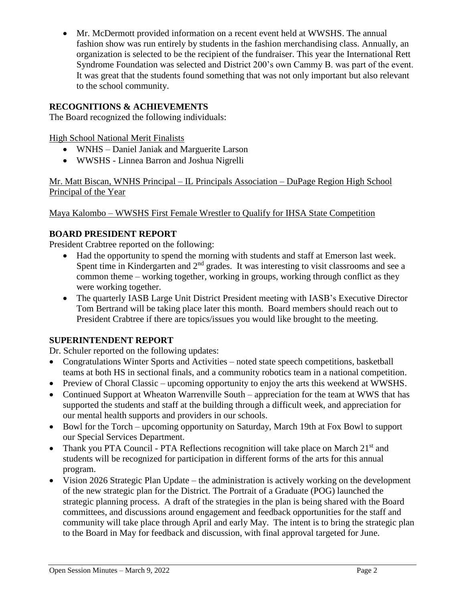Mr. McDermott provided information on a recent event held at WWSHS. The annual fashion show was run entirely by students in the fashion merchandising class. Annually, an organization is selected to be the recipient of the fundraiser. This year the International Rett Syndrome Foundation was selected and District 200's own Cammy B. was part of the event. It was great that the students found something that was not only important but also relevant to the school community.

## **RECOGNITIONS & ACHIEVEMENTS**

The Board recognized the following individuals:

High School National Merit Finalists

- WNHS Daniel Janiak and Marguerite Larson
- WWSHS Linnea Barron and Joshua Nigrelli

Mr. Matt Biscan, WNHS Principal – IL Principals Association – DuPage Region High School Principal of the Year

Maya Kalombo – WWSHS First Female Wrestler to Qualify for IHSA State Competition

## **BOARD PRESIDENT REPORT**

President Crabtree reported on the following:

- Had the opportunity to spend the morning with students and staff at Emerson last week. Spent time in Kindergarten and  $2<sup>nd</sup>$  grades. It was interesting to visit classrooms and see a common theme – working together, working in groups, working through conflict as they were working together.
- The quarterly IASB Large Unit District President meeting with IASB's Executive Director Tom Bertrand will be taking place later this month. Board members should reach out to President Crabtree if there are topics/issues you would like brought to the meeting.

### **SUPERINTENDENT REPORT**

Dr. Schuler reported on the following updates:

- Congratulations Winter Sports and Activities noted state speech competitions, basketball teams at both HS in sectional finals, and a community robotics team in a national competition.
- Preview of Choral Classic upcoming opportunity to enjoy the arts this weekend at WWSHS.
- Continued Support at Wheaton Warrenville South appreciation for the team at WWS that has supported the students and staff at the building through a difficult week, and appreciation for our mental health supports and providers in our schools.
- Bowl for the Torch upcoming opportunity on Saturday, March 19th at Fox Bowl to support our Special Services Department.
- Thank you PTA Council PTA Reflections recognition will take place on March  $21<sup>st</sup>$  and students will be recognized for participation in different forms of the arts for this annual program.
- Vision 2026 Strategic Plan Update the administration is actively working on the development of the new strategic plan for the District. The Portrait of a Graduate (POG) launched the strategic planning process. A draft of the strategies in the plan is being shared with the Board committees, and discussions around engagement and feedback opportunities for the staff and community will take place through April and early May. The intent is to bring the strategic plan to the Board in May for feedback and discussion, with final approval targeted for June.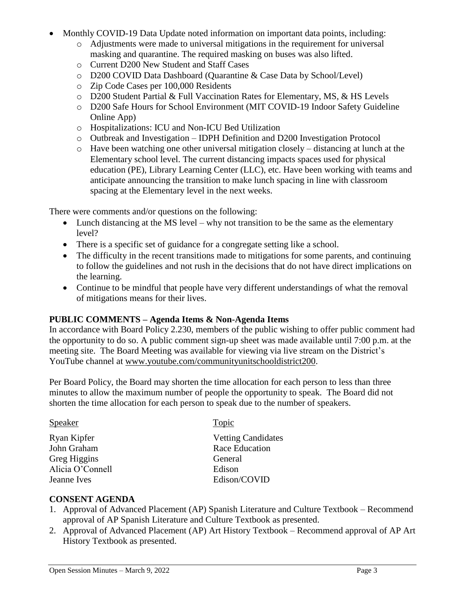- Monthly COVID-19 Data Update noted information on important data points, including:
	- o Adjustments were made to universal mitigations in the requirement for universal masking and quarantine. The required masking on buses was also lifted.
	- o Current D200 New Student and Staff Cases
	- o D200 COVID Data Dashboard (Quarantine & Case Data by School/Level)
	- o Zip Code Cases per 100,000 Residents
	- o D200 Student Partial & Full Vaccination Rates for Elementary, MS, & HS Levels
	- o D200 Safe Hours for School Environment (MIT COVID-19 Indoor Safety Guideline Online App)
	- o Hospitalizations: ICU and Non-ICU Bed Utilization
	- o Outbreak and Investigation IDPH Definition and D200 Investigation Protocol
	- o Have been watching one other universal mitigation closely distancing at lunch at the Elementary school level. The current distancing impacts spaces used for physical education (PE), Library Learning Center (LLC), etc. Have been working with teams and anticipate announcing the transition to make lunch spacing in line with classroom spacing at the Elementary level in the next weeks.

There were comments and/or questions on the following:

- Lunch distancing at the MS level why not transition to be the same as the elementary level?
- There is a specific set of guidance for a congregate setting like a school.
- The difficulty in the recent transitions made to mitigations for some parents, and continuing to follow the guidelines and not rush in the decisions that do not have direct implications on the learning.
- Continue to be mindful that people have very different understandings of what the removal of mitigations means for their lives.

#### **PUBLIC COMMENTS – Agenda Items & Non-Agenda Items**

In accordance with Board Policy 2.230, members of the public wishing to offer public comment had the opportunity to do so. A public comment sign-up sheet was made available until 7:00 p.m. at the meeting site. The Board Meeting was available for viewing via live stream on the District's YouTube channel at [www.youtube.com/communityunitschooldistrict200.](http://www.youtube.com/communityunitschooldistrict200)

Per Board Policy, the Board may shorten the time allocation for each person to less than three minutes to allow the maximum number of people the opportunity to speak. The Board did not shorten the time allocation for each person to speak due to the number of speakers.

| <b>Speaker</b>   | Topic                     |
|------------------|---------------------------|
| Ryan Kipfer      | <b>Vetting Candidates</b> |
| John Graham      | Race Education            |
| Greg Higgins     | General                   |
| Alicia O'Connell | Edison                    |
| Jeanne Ives      | Edison/COVID              |
|                  |                           |

### **CONSENT AGENDA**

- 1. Approval of Advanced Placement (AP) Spanish Literature and Culture Textbook Recommend approval of AP Spanish Literature and Culture Textbook as presented.
- 2. Approval of Advanced Placement (AP) Art History Textbook Recommend approval of AP Art History Textbook as presented.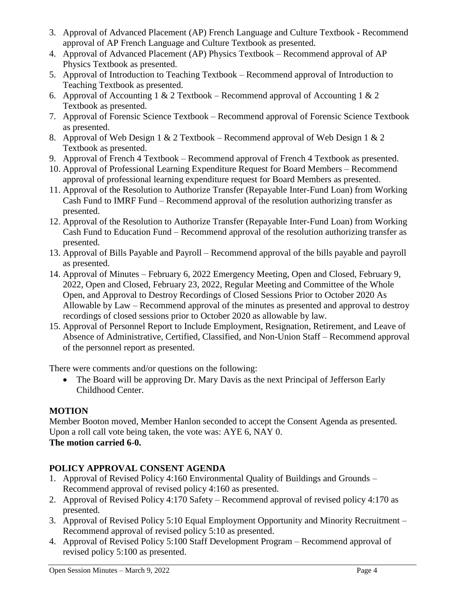- 3. Approval of Advanced Placement (AP) French Language and Culture Textbook Recommend approval of AP French Language and Culture Textbook as presented.
- 4. Approval of Advanced Placement (AP) Physics Textbook Recommend approval of AP Physics Textbook as presented.
- 5. Approval of Introduction to Teaching Textbook Recommend approval of Introduction to Teaching Textbook as presented.
- 6. Approval of Accounting 1 & 2 Textbook Recommend approval of Accounting 1 & 2 Textbook as presented.
- 7. Approval of Forensic Science Textbook Recommend approval of Forensic Science Textbook as presented.
- 8. Approval of Web Design 1 & 2 Textbook Recommend approval of Web Design 1 & 2 Textbook as presented.
- 9. Approval of French 4 Textbook Recommend approval of French 4 Textbook as presented.
- 10. Approval of Professional Learning Expenditure Request for Board Members Recommend approval of professional learning expenditure request for Board Members as presented.
- 11. Approval of the Resolution to Authorize Transfer (Repayable Inter-Fund Loan) from Working Cash Fund to IMRF Fund – Recommend approval of the resolution authorizing transfer as presented.
- 12. Approval of the Resolution to Authorize Transfer (Repayable Inter-Fund Loan) from Working Cash Fund to Education Fund – Recommend approval of the resolution authorizing transfer as presented.
- 13. Approval of Bills Payable and Payroll Recommend approval of the bills payable and payroll as presented.
- 14. Approval of Minutes February 6, 2022 Emergency Meeting, Open and Closed, February 9, 2022, Open and Closed, February 23, 2022, Regular Meeting and Committee of the Whole Open, and Approval to Destroy Recordings of Closed Sessions Prior to October 2020 As Allowable by Law – Recommend approval of the minutes as presented and approval to destroy recordings of closed sessions prior to October 2020 as allowable by law.
- 15. Approval of Personnel Report to Include Employment, Resignation, Retirement, and Leave of Absence of Administrative, Certified, Classified, and Non-Union Staff – Recommend approval of the personnel report as presented.

There were comments and/or questions on the following:

• The Board will be approving Dr. Mary Davis as the next Principal of Jefferson Early Childhood Center.

# **MOTION**

Member Booton moved, Member Hanlon seconded to accept the Consent Agenda as presented. Upon a roll call vote being taken, the vote was: AYE 6, NAY 0. **The motion carried 6-0.** 

# **POLICY APPROVAL CONSENT AGENDA**

- 1. Approval of Revised Policy 4:160 Environmental Quality of Buildings and Grounds Recommend approval of revised policy 4:160 as presented.
- 2. Approval of Revised Policy 4:170 Safety Recommend approval of revised policy 4:170 as presented.
- 3. Approval of Revised Policy 5:10 Equal Employment Opportunity and Minority Recruitment Recommend approval of revised policy 5:10 as presented.
- 4. Approval of Revised Policy 5:100 Staff Development Program Recommend approval of revised policy 5:100 as presented.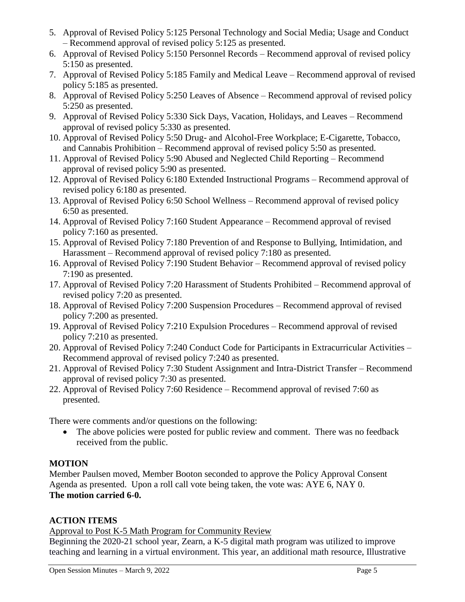- 5. Approval of Revised Policy 5:125 Personal Technology and Social Media; Usage and Conduct – Recommend approval of revised policy 5:125 as presented.
- 6. Approval of Revised Policy 5:150 Personnel Records Recommend approval of revised policy 5:150 as presented.
- 7. Approval of Revised Policy 5:185 Family and Medical Leave Recommend approval of revised policy 5:185 as presented.
- 8. Approval of Revised Policy 5:250 Leaves of Absence Recommend approval of revised policy 5:250 as presented.
- 9. Approval of Revised Policy 5:330 Sick Days, Vacation, Holidays, and Leaves Recommend approval of revised policy 5:330 as presented.
- 10. Approval of Revised Policy 5:50 Drug- and Alcohol-Free Workplace; E-Cigarette, Tobacco, and Cannabis Prohibition – Recommend approval of revised policy 5:50 as presented.
- 11. Approval of Revised Policy 5:90 Abused and Neglected Child Reporting Recommend approval of revised policy 5:90 as presented.
- 12. Approval of Revised Policy 6:180 Extended Instructional Programs Recommend approval of revised policy 6:180 as presented.
- 13. Approval of Revised Policy 6:50 School Wellness Recommend approval of revised policy 6:50 as presented.
- 14. Approval of Revised Policy 7:160 Student Appearance Recommend approval of revised policy 7:160 as presented.
- 15. Approval of Revised Policy 7:180 Prevention of and Response to Bullying, Intimidation, and Harassment – Recommend approval of revised policy 7:180 as presented.
- 16. Approval of Revised Policy 7:190 Student Behavior Recommend approval of revised policy 7:190 as presented.
- 17. Approval of Revised Policy 7:20 Harassment of Students Prohibited Recommend approval of revised policy 7:20 as presented.
- 18. Approval of Revised Policy 7:200 Suspension Procedures Recommend approval of revised policy 7:200 as presented.
- 19. Approval of Revised Policy 7:210 Expulsion Procedures Recommend approval of revised policy 7:210 as presented.
- 20. Approval of Revised Policy 7:240 Conduct Code for Participants in Extracurricular Activities Recommend approval of revised policy 7:240 as presented.
- 21. Approval of Revised Policy 7:30 Student Assignment and Intra-District Transfer Recommend approval of revised policy 7:30 as presented.
- 22. Approval of Revised Policy 7:60 Residence Recommend approval of revised 7:60 as presented.

There were comments and/or questions on the following:

• The above policies were posted for public review and comment. There was no feedback received from the public.

## **MOTION**

Member Paulsen moved, Member Booton seconded to approve the Policy Approval Consent Agenda as presented. Upon a roll call vote being taken, the vote was: AYE 6, NAY 0. **The motion carried 6-0.** 

## **ACTION ITEMS**

Approval to Post K-5 Math Program for Community Review

Beginning the 2020-21 school year, Zearn, a K-5 digital math program was utilized to improve teaching and learning in a virtual environment. This year, an additional math resource, Illustrative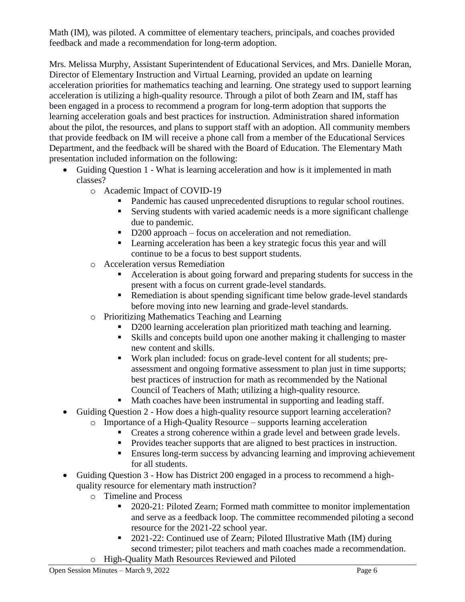Math (IM), was piloted. A committee of elementary teachers, principals, and coaches provided feedback and made a recommendation for long-term adoption.

Mrs. Melissa Murphy, Assistant Superintendent of Educational Services, and Mrs. Danielle Moran, Director of Elementary Instruction and Virtual Learning, provided an update on learning acceleration priorities for mathematics teaching and learning. One strategy used to support learning acceleration is utilizing a high-quality resource. Through a pilot of both Zearn and IM, staff has been engaged in a process to recommend a program for long-term adoption that supports the learning acceleration goals and best practices for instruction. Administration shared information about the pilot, the resources, and plans to support staff with an adoption. All community members that provide feedback on IM will receive a phone call from a member of the Educational Services Department, and the feedback will be shared with the Board of Education. The Elementary Math presentation included information on the following:

- Guiding Question 1 What is learning acceleration and how is it implemented in math classes?
	- o Academic Impact of COVID-19
		- Pandemic has caused unprecedented disruptions to regular school routines.
		- Serving students with varied academic needs is a more significant challenge due to pandemic.
		- D200 approach focus on acceleration and not remediation.
		- **Learning acceleration has been a key strategic focus this year and will** continue to be a focus to best support students.
	- o Acceleration versus Remediation
		- Acceleration is about going forward and preparing students for success in the present with a focus on current grade-level standards.
		- **Remediation is about spending significant time below grade-level standards** before moving into new learning and grade-level standards.
	- o Prioritizing Mathematics Teaching and Learning
		- D<sub>200</sub> learning acceleration plan prioritized math teaching and learning.
		- Skills and concepts build upon one another making it challenging to master new content and skills.
		- Work plan included: focus on grade-level content for all students; preassessment and ongoing formative assessment to plan just in time supports; best practices of instruction for math as recommended by the National Council of Teachers of Math; utilizing a high-quality resource.
		- Math coaches have been instrumental in supporting and leading staff.
- Guiding Question 2 How does a high-quality resource support learning acceleration?
	- o Importance of a High-Quality Resource supports learning acceleration
		- Creates a strong coherence within a grade level and between grade levels.
		- Provides teacher supports that are aligned to best practices in instruction.
		- **Ensures long-term success by advancing learning and improving achievement** for all students.
- Guiding Question 3 How has District 200 engaged in a process to recommend a highquality resource for elementary math instruction?
	- o Timeline and Process
		- <sup>2020-21:</sup> Piloted Zearn; Formed math committee to monitor implementation and serve as a feedback loop. The committee recommended piloting a second resource for the 2021-22 school year.
	- 2021-22: Continued use of Zearn; Piloted Illustrative Math (IM) during second trimester; pilot teachers and math coaches made a recommendation. o High-Quality Math Resources Reviewed and Piloted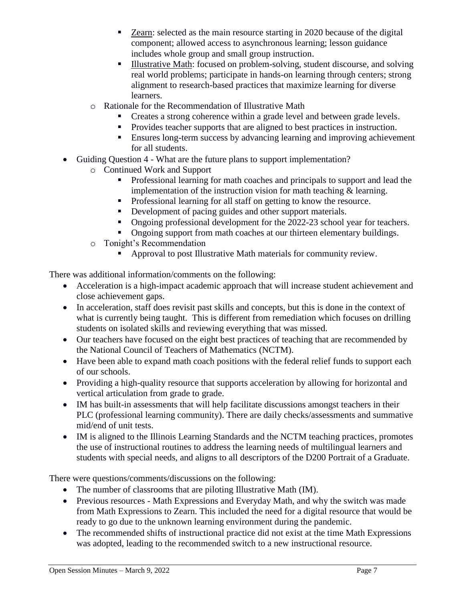- Zearn: selected as the main resource starting in 2020 because of the digital component; allowed access to asynchronous learning; lesson guidance includes whole group and small group instruction.
- Illustrative Math: focused on problem-solving, student discourse, and solving real world problems; participate in hands-on learning through centers; strong alignment to research-based practices that maximize learning for diverse learners.
- o Rationale for the Recommendation of Illustrative Math
	- Creates a strong coherence within a grade level and between grade levels.
	- Provides teacher supports that are aligned to best practices in instruction.
	- **Ensures long-term success by advancing learning and improving achievement** for all students.
- Guiding Question 4 What are the future plans to support implementation?
	- o Continued Work and Support
		- **Professional learning for math coaches and principals to support and lead the** implementation of the instruction vision for math teaching & learning.
		- Professional learning for all staff on getting to know the resource.
		- Development of pacing guides and other support materials.
		- Ongoing professional development for the 2022-23 school year for teachers.
		- Ongoing support from math coaches at our thirteen elementary buildings.
		- o Tonight's Recommendation
			- Approval to post Illustrative Math materials for community review.

There was additional information/comments on the following:

- Acceleration is a high-impact academic approach that will increase student achievement and close achievement gaps.
- In acceleration, staff does revisit past skills and concepts, but this is done in the context of what is currently being taught. This is different from remediation which focuses on drilling students on isolated skills and reviewing everything that was missed.
- Our teachers have focused on the eight best practices of teaching that are recommended by the National Council of Teachers of Mathematics (NCTM).
- Have been able to expand math coach positions with the federal relief funds to support each of our schools.
- Providing a high-quality resource that supports acceleration by allowing for horizontal and vertical articulation from grade to grade.
- IM has built-in assessments that will help facilitate discussions amongst teachers in their PLC (professional learning community). There are daily checks/assessments and summative mid/end of unit tests.
- IM is aligned to the Illinois Learning Standards and the NCTM teaching practices, promotes the use of instructional routines to address the learning needs of multilingual learners and students with special needs, and aligns to all descriptors of the D200 Portrait of a Graduate.

There were questions/comments/discussions on the following:

- The number of classrooms that are piloting Illustrative Math (IM).
- Previous resources Math Expressions and Everyday Math, and why the switch was made from Math Expressions to Zearn. This included the need for a digital resource that would be ready to go due to the unknown learning environment during the pandemic.
- The recommended shifts of instructional practice did not exist at the time Math Expressions was adopted, leading to the recommended switch to a new instructional resource.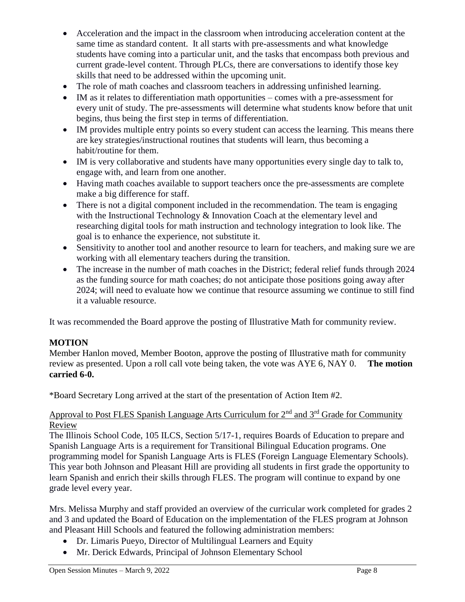- Acceleration and the impact in the classroom when introducing acceleration content at the same time as standard content. It all starts with pre-assessments and what knowledge students have coming into a particular unit, and the tasks that encompass both previous and current grade-level content. Through PLCs, there are conversations to identify those key skills that need to be addressed within the upcoming unit.
- The role of math coaches and classroom teachers in addressing unfinished learning.
- IM as it relates to differentiation math opportunities comes with a pre-assessment for every unit of study. The pre-assessments will determine what students know before that unit begins, thus being the first step in terms of differentiation.
- IM provides multiple entry points so every student can access the learning. This means there are key strategies/instructional routines that students will learn, thus becoming a habit/routine for them.
- IM is very collaborative and students have many opportunities every single day to talk to, engage with, and learn from one another.
- Having math coaches available to support teachers once the pre-assessments are complete make a big difference for staff.
- There is not a digital component included in the recommendation. The team is engaging with the Instructional Technology & Innovation Coach at the elementary level and researching digital tools for math instruction and technology integration to look like. The goal is to enhance the experience, not substitute it.
- Sensitivity to another tool and another resource to learn for teachers, and making sure we are working with all elementary teachers during the transition.
- The increase in the number of math coaches in the District; federal relief funds through 2024 as the funding source for math coaches; do not anticipate those positions going away after 2024; will need to evaluate how we continue that resource assuming we continue to still find it a valuable resource.

It was recommended the Board approve the posting of Illustrative Math for community review.

## **MOTION**

Member Hanlon moved, Member Booton, approve the posting of Illustrative math for community review as presented. Upon a roll call vote being taken, the vote was AYE 6, NAY 0. **The motion carried 6-0.**

\*Board Secretary Long arrived at the start of the presentation of Action Item #2.

## Approval to Post FLES Spanish Language Arts Curriculum for  $2<sup>nd</sup>$  and  $3<sup>rd</sup>$  Grade for Community Review

The Illinois School Code, 105 ILCS, Section 5/17-1, requires Boards of Education to prepare and Spanish Language Arts is a requirement for Transitional Bilingual Education programs. One programming model for Spanish Language Arts is FLES (Foreign Language Elementary Schools). This year both Johnson and Pleasant Hill are providing all students in first grade the opportunity to learn Spanish and enrich their skills through FLES. The program will continue to expand by one grade level every year.

Mrs. Melissa Murphy and staff provided an overview of the curricular work completed for grades 2 and 3 and updated the Board of Education on the implementation of the FLES program at Johnson and Pleasant Hill Schools and featured the following administration members:

- Dr. Limaris Pueyo, Director of Multilingual Learners and Equity
- Mr. Derick Edwards, Principal of Johnson Elementary School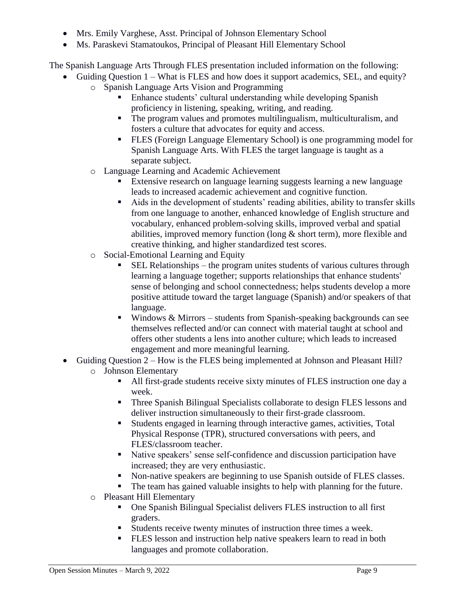- Mrs. Emily Varghese, Asst. Principal of Johnson Elementary School
- Ms. Paraskevi Stamatoukos, Principal of Pleasant Hill Elementary School

The Spanish Language Arts Through FLES presentation included information on the following:

- Guiding Question 1 What is FLES and how does it support academics, SEL, and equity?
	- o Spanish Language Arts Vision and Programming
		- Enhance students' cultural understanding while developing Spanish proficiency in listening, speaking, writing, and reading.
		- The program values and promotes multilingualism, multiculturalism, and fosters a culture that advocates for equity and access.
		- FLES (Foreign Language Elementary School) is one programming model for Spanish Language Arts. With FLES the target language is taught as a separate subject.
	- o Language Learning and Academic Achievement
		- Extensive research on language learning suggests learning a new language leads to increased academic achievement and cognitive function.
		- Aids in the development of students' reading abilities, ability to transfer skills from one language to another, enhanced knowledge of English structure and vocabulary, enhanced problem-solving skills, improved verbal and spatial abilities, improved memory function (long & short term), more flexible and creative thinking, and higher standardized test scores.
	- o Social-Emotional Learning and Equity
		- SEL Relationships the program unites students of various cultures through learning a language together; supports relationships that enhance students' sense of belonging and school connectedness; helps students develop a more positive attitude toward the target language (Spanish) and/or speakers of that language.
		- $\blacksquare$  Windows & Mirrors students from Spanish-speaking backgrounds can see themselves reflected and/or can connect with material taught at school and offers other students a lens into another culture; which leads to increased engagement and more meaningful learning.
- Guiding Question 2 How is the FLES being implemented at Johnson and Pleasant Hill?
	- o Johnson Elementary
		- All first-grade students receive sixty minutes of FLES instruction one day a week.
		- **Three Spanish Bilingual Specialists collaborate to design FLES lessons and** deliver instruction simultaneously to their first-grade classroom.
		- Students engaged in learning through interactive games, activities, Total Physical Response (TPR), structured conversations with peers, and FLES/classroom teacher.
		- Native speakers' sense self-confidence and discussion participation have increased; they are very enthusiastic.
		- Non-native speakers are beginning to use Spanish outside of FLES classes.
		- The team has gained valuable insights to help with planning for the future.
	- o Pleasant Hill Elementary
		- One Spanish Bilingual Specialist delivers FLES instruction to all first graders.
		- Students receive twenty minutes of instruction three times a week.
		- FLES lesson and instruction help native speakers learn to read in both languages and promote collaboration.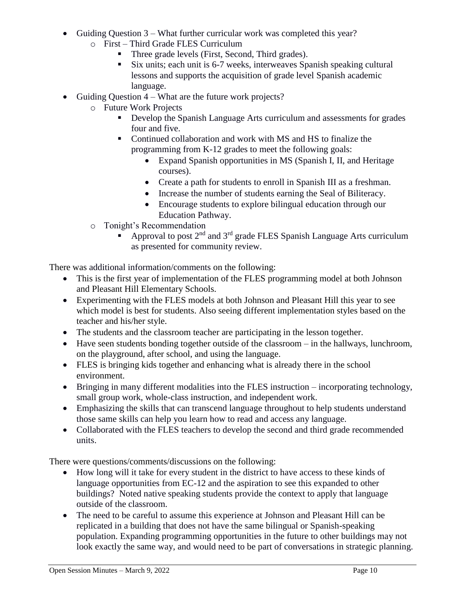- Guiding Question 3 What further curricular work was completed this year?
	- o First Third Grade FLES Curriculum
		- Three grade levels (First, Second, Third grades).
		- Six units; each unit is 6-7 weeks, interweaves Spanish speaking cultural lessons and supports the acquisition of grade level Spanish academic language.
- Guiding Question  $4 What$  are the future work projects?
	- o Future Work Projects
		- Develop the Spanish Language Arts curriculum and assessments for grades four and five.
		- Continued collaboration and work with MS and HS to finalize the programming from K-12 grades to meet the following goals:
			- Expand Spanish opportunities in MS (Spanish I, II, and Heritage courses).
			- Create a path for students to enroll in Spanish III as a freshman.
			- Increase the number of students earning the Seal of Biliteracy.
			- Encourage students to explore bilingual education through our Education Pathway.
	- o Tonight's Recommendation
		- Approval to post  $2<sup>nd</sup>$  and  $3<sup>rd</sup>$  grade FLES Spanish Language Arts curriculum as presented for community review.

There was additional information/comments on the following:

- This is the first year of implementation of the FLES programming model at both Johnson and Pleasant Hill Elementary Schools.
- Experimenting with the FLES models at both Johnson and Pleasant Hill this year to see which model is best for students. Also seeing different implementation styles based on the teacher and his/her style.
- The students and the classroom teacher are participating in the lesson together.
- Have seen students bonding together outside of the classroom in the hallways, lunchroom, on the playground, after school, and using the language.
- FLES is bringing kids together and enhancing what is already there in the school environment.
- Bringing in many different modalities into the FLES instruction incorporating technology, small group work, whole-class instruction, and independent work.
- Emphasizing the skills that can transcend language throughout to help students understand those same skills can help you learn how to read and access any language.
- Collaborated with the FLES teachers to develop the second and third grade recommended units.

There were questions/comments/discussions on the following:

- How long will it take for every student in the district to have access to these kinds of language opportunities from EC-12 and the aspiration to see this expanded to other buildings? Noted native speaking students provide the context to apply that language outside of the classroom.
- The need to be careful to assume this experience at Johnson and Pleasant Hill can be replicated in a building that does not have the same bilingual or Spanish-speaking population. Expanding programming opportunities in the future to other buildings may not look exactly the same way, and would need to be part of conversations in strategic planning.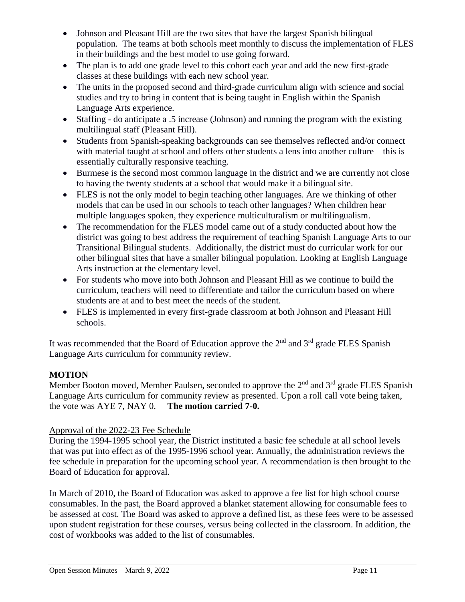- Johnson and Pleasant Hill are the two sites that have the largest Spanish bilingual population. The teams at both schools meet monthly to discuss the implementation of FLES in their buildings and the best model to use going forward.
- The plan is to add one grade level to this cohort each year and add the new first-grade classes at these buildings with each new school year.
- The units in the proposed second and third-grade curriculum align with science and social studies and try to bring in content that is being taught in English within the Spanish Language Arts experience.
- Staffing do anticipate a .5 increase (Johnson) and running the program with the existing multilingual staff (Pleasant Hill).
- Students from Spanish-speaking backgrounds can see themselves reflected and/or connect with material taught at school and offers other students a lens into another culture – this is essentially culturally responsive teaching.
- Burmese is the second most common language in the district and we are currently not close to having the twenty students at a school that would make it a bilingual site.
- FLES is not the only model to begin teaching other languages. Are we thinking of other models that can be used in our schools to teach other languages? When children hear multiple languages spoken, they experience multiculturalism or multilingualism.
- The recommendation for the FLES model came out of a study conducted about how the district was going to best address the requirement of teaching Spanish Language Arts to our Transitional Bilingual students. Additionally, the district must do curricular work for our other bilingual sites that have a smaller bilingual population. Looking at English Language Arts instruction at the elementary level.
- For students who move into both Johnson and Pleasant Hill as we continue to build the curriculum, teachers will need to differentiate and tailor the curriculum based on where students are at and to best meet the needs of the student.
- FLES is implemented in every first-grade classroom at both Johnson and Pleasant Hill schools.

It was recommended that the Board of Education approve the  $2<sup>nd</sup>$  and  $3<sup>rd</sup>$  grade FLES Spanish Language Arts curriculum for community review.

## **MOTION**

Member Booton moved, Member Paulsen, seconded to approve the  $2<sup>nd</sup>$  and  $3<sup>rd</sup>$  grade FLES Spanish Language Arts curriculum for community review as presented. Upon a roll call vote being taken, the vote was AYE 7, NAY 0. **The motion carried 7-0.** 

## Approval of the 2022-23 Fee Schedule

During the 1994-1995 school year, the District instituted a basic fee schedule at all school levels that was put into effect as of the 1995-1996 school year. Annually, the administration reviews the fee schedule in preparation for the upcoming school year. A recommendation is then brought to the Board of Education for approval.

In March of 2010, the Board of Education was asked to approve a fee list for high school course consumables. In the past, the Board approved a blanket statement allowing for consumable fees to be assessed at cost. The Board was asked to approve a defined list, as these fees were to be assessed upon student registration for these courses, versus being collected in the classroom. In addition, the cost of workbooks was added to the list of consumables.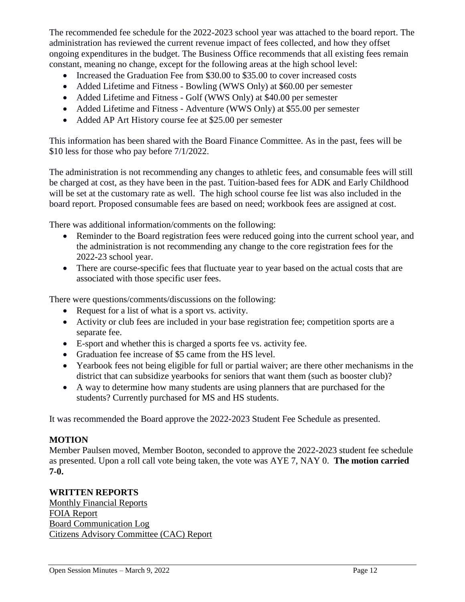The recommended fee schedule for the 2022-2023 school year was attached to the board report. The administration has reviewed the current revenue impact of fees collected, and how they offset ongoing expenditures in the budget. The Business Office recommends that all existing fees remain constant, meaning no change, except for the following areas at the high school level:

- Increased the Graduation Fee from \$30.00 to \$35.00 to cover increased costs
- Added Lifetime and Fitness Bowling (WWS Only) at \$60.00 per semester
- Added Lifetime and Fitness Golf (WWS Only) at \$40.00 per semester
- Added Lifetime and Fitness Adventure (WWS Only) at \$55.00 per semester
- Added AP Art History course fee at \$25.00 per semester

This information has been shared with the Board Finance Committee. As in the past, fees will be \$10 less for those who pay before 7/1/2022.

The administration is not recommending any changes to athletic fees, and consumable fees will still be charged at cost, as they have been in the past. Tuition-based fees for ADK and Early Childhood will be set at the customary rate as well. The high school course fee list was also included in the board report. Proposed consumable fees are based on need; workbook fees are assigned at cost.

There was additional information/comments on the following:

- Reminder to the Board registration fees were reduced going into the current school year, and the administration is not recommending any change to the core registration fees for the 2022-23 school year.
- There are course-specific fees that fluctuate year to year based on the actual costs that are associated with those specific user fees.

There were questions/comments/discussions on the following:

- Request for a list of what is a sport vs. activity.
- Activity or club fees are included in your base registration fee; competition sports are a separate fee.
- E-sport and whether this is charged a sports fee vs. activity fee.
- Graduation fee increase of \$5 came from the HS level.
- Yearbook fees not being eligible for full or partial waiver; are there other mechanisms in the district that can subsidize yearbooks for seniors that want them (such as booster club)?
- A way to determine how many students are using planners that are purchased for the students? Currently purchased for MS and HS students.

It was recommended the Board approve the 2022-2023 Student Fee Schedule as presented.

### **MOTION**

Member Paulsen moved, Member Booton, seconded to approve the 2022-2023 student fee schedule as presented. Upon a roll call vote being taken, the vote was AYE 7, NAY 0. **The motion carried 7-0.** 

## **WRITTEN REPORTS**

Monthly Financial Reports FOIA Report Board Communication Log Citizens Advisory Committee (CAC) Report